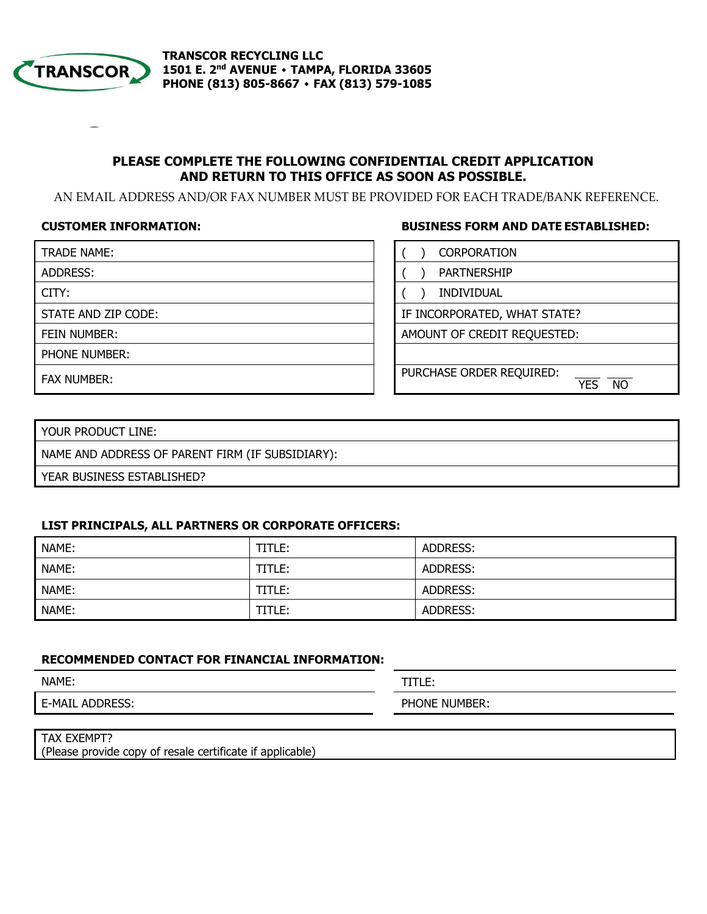

# **PLEASE COMPLETE THE FOLLOWING CONFIDENTIAL CREDIT APPLICATION AND RETURN TO THIS OFFICE AS SOON AS POSSIBLE.**

AN EMAIL ADDRESS AND/OR FAX NUMBER MUST BE PROVIDED FOR EACH TRADE/BANK REFERENCE.

**CUSTOMER INFORMATION: BUSINESS FORM AND DATE ESTABLISHED:**

| TRADE NAME:          | <b>CORPORATION</b>                                  |
|----------------------|-----------------------------------------------------|
| ADDRESS:             | <b>PARTNERSHIP</b>                                  |
| CITY:                | <b>INDIVIDUAL</b>                                   |
| STATE AND ZIP CODE:  | IF INCORPORATED, WHAT STATE?                        |
| FEIN NUMBER:         | AMOUNT OF CREDIT REQUESTED:                         |
| <b>PHONE NUMBER:</b> |                                                     |
| <b>FAX NUMBER:</b>   | PURCHASE ORDER REQUIRED:<br><b>NO</b><br><b>YFS</b> |

YOUR PRODUCT LINE:

NAME AND ADDRESS OF PARENT FIRM (IF SUBSIDIARY):

YEAR BUSINESS ESTABLISHED?

#### **LIST PRINCIPALS, ALL PARTNERS OR CORPORATE OFFICERS:**

| NAME: | TITLE: | ADDRESS: |
|-------|--------|----------|
| NAME: | TITLE: | ADDRESS: |
| NAME: | TITLE: | ADDRESS: |
| NAME: | TITLE: | ADDRESS: |

### **RECOMMENDED CONTACT FOR FINANCIAL INFORMATION:**

| NAME:                                 | TITLE:                 |
|---------------------------------------|------------------------|
| $F-M\Delta$<br>-<br>י-ו גור<br>-<br>. | DH 1<br>NUMBER:<br>)N⊩ |

# TAX EXEMPT?

(Please provide copy of resale certificate if applicable)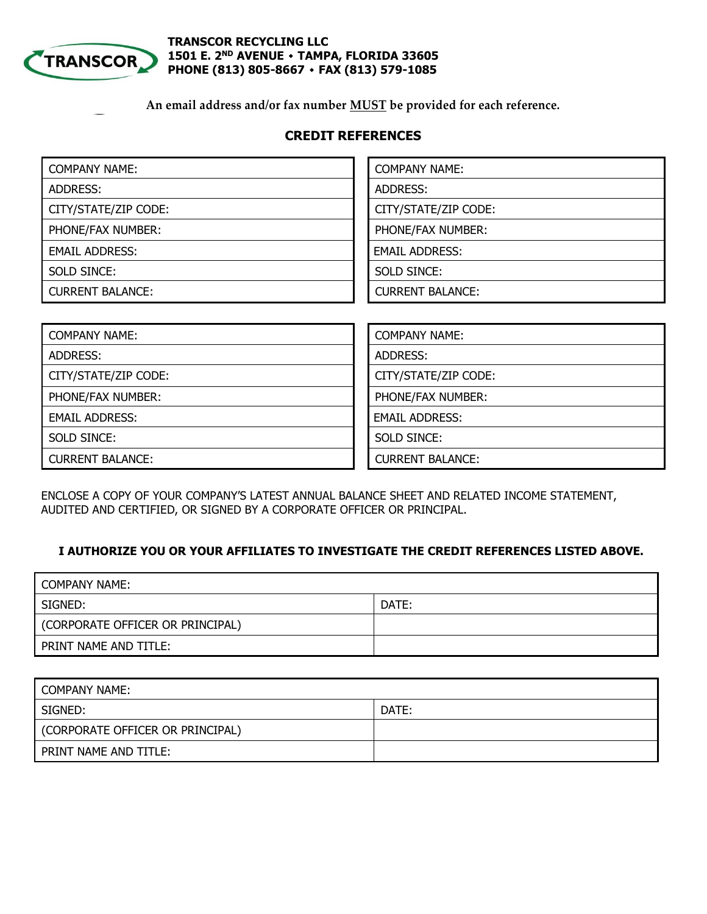

### **TRANSCOR RECYCLING LLC 1501 E. 2ND AVENUE ٠ TAMPA, FLORIDA 33605 PHONE (813) 805-8667 ٠ FAX (813) 579-1085**

**An email address and/or fax number MUST be provided for each reference.**

# **CREDIT REFERENCES**

| <b>COMPANY NAME:</b>    | <b>COMPANY NAME:</b>    |
|-------------------------|-------------------------|
| ADDRESS:                | ADDRESS:                |
| CITY/STATE/ZIP CODE:    | CITY/STATE/ZIP CODE:    |
| PHONE/FAX NUMBER:       | PHONE/FAX NUMBER:       |
| <b>EMAIL ADDRESS:</b>   | <b>EMAIL ADDRESS:</b>   |
| SOLD SINCE:             | SOLD SINCE:             |
| <b>CURRENT BALANCE:</b> | <b>CURRENT BALANCE:</b> |

| <b>COMPANY NAME:</b>    | <b>COMPANY NAME:</b>    |
|-------------------------|-------------------------|
| ADDRESS:                | ADDRESS:                |
| CITY/STATE/ZIP CODE:    | CITY/STATE/ZIP CODE:    |
| PHONE/FAX NUMBER:       | PHONE/FAX NUMBER:       |
| <b>EMAIL ADDRESS:</b>   | <b>EMAIL ADDRESS:</b>   |
| SOLD SINCE:             | SOLD SINCE:             |
| <b>CURRENT BALANCE:</b> | <b>CURRENT BALANCE:</b> |

ENCLOSE A COPY OF YOUR COMPANY'S LATEST ANNUAL BALANCE SHEET AND RELATED INCOME STATEMENT, AUDITED AND CERTIFIED, OR SIGNED BY A CORPORATE OFFICER OR PRINCIPAL.

## **I AUTHORIZE YOU OR YOUR AFFILIATES TO INVESTIGATE THE CREDIT REFERENCES LISTED ABOVE.**

| COMPANY NAME:                    |       |
|----------------------------------|-------|
| SIGNED:                          | DATE: |
| (CORPORATE OFFICER OR PRINCIPAL) |       |
| PRINT NAME AND TITLE:            |       |

| <b>COMPANY NAME:</b>             |       |
|----------------------------------|-------|
| SIGNED:                          | DATE: |
| (CORPORATE OFFICER OR PRINCIPAL) |       |
| PRINT NAME AND TITLE:            |       |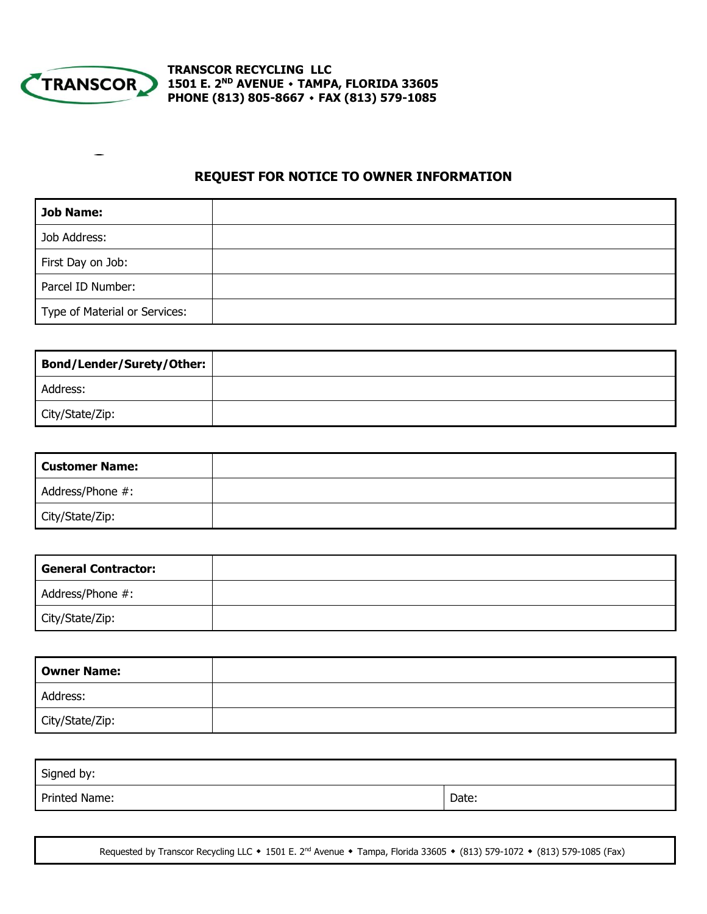

**TRANSCOR RECYCLING LLC 1501 E. 2ND AVENUE ٠ TAMPA, FLORIDA 33605 PHONE (813) 805-8667 ٠ FAX (813) 579-1085**

# **REQUEST FOR NOTICE TO OWNER INFORMATION**

| Job Name:                     |  |
|-------------------------------|--|
| Job Address:                  |  |
| First Day on Job:             |  |
| Parcel ID Number:             |  |
| Type of Material or Services: |  |

| Bond/Lender/Surety/Other: |  |
|---------------------------|--|
| Address:                  |  |
| City/State/Zip:           |  |

| <b>Customer Name:</b> |  |
|-----------------------|--|
| Address/Phone #:      |  |
| City/State/Zip:       |  |

| <b>General Contractor:</b> |  |
|----------------------------|--|
| Address/Phone #:           |  |
| City/State/Zip:            |  |

| <b>Owner Name:</b> |  |
|--------------------|--|
| Address:           |  |
| City/State/Zip:    |  |

| Signed by:    |       |
|---------------|-------|
| Printed Name: | Date: |

Requested by Transcor Recycling LLC **٠** 1501 E. 2nd Avenue **٠** Tampa, Florida 33605 **٠** (813) 579-1072 **٠** (813) 579-1085 (Fax)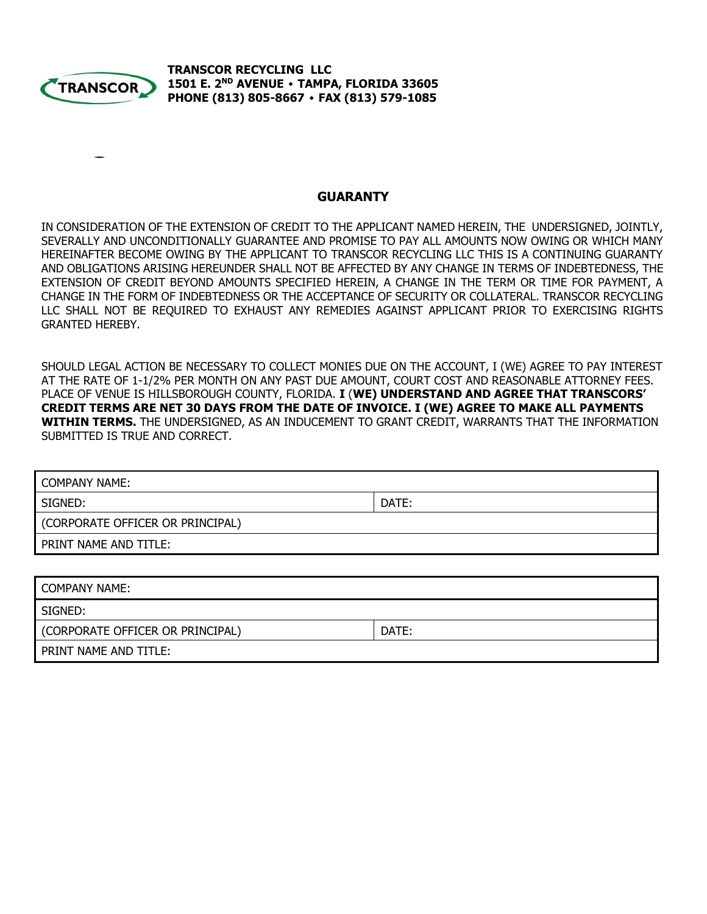

**TRANSCOR RECYCLING LLC 1501 E. 2ND AVENUE ٠ TAMPA, FLORIDA 33605 PHONE (813) 805-8667 ٠ FAX (813) 579-1085**

#### **GUARANTY**

IN CONSIDERATION OF THE EXTENSION OF CREDIT TO THE APPLICANT NAMED HEREIN, THE UNDERSIGNED, JOINTLY, SEVERALLY AND UNCONDITIONALLY GUARANTEE AND PROMISE TO PAY ALL AMOUNTS NOW OWING OR WHICH MANY HEREINAFTER BECOME OWING BY THE APPLICANT TO TRANSCOR RECYCLING LLC THIS IS A CONTINUING GUARANTY AND OBLIGATIONS ARISING HEREUNDER SHALL NOT BE AFFECTED BY ANY CHANGE IN TERMS OF INDEBTEDNESS, THE EXTENSION OF CREDIT BEYOND AMOUNTS SPECIFIED HEREIN, A CHANGE IN THE TERM OR TIME FOR PAYMENT, A CHANGE IN THE FORM OF INDEBTEDNESS OR THE ACCEPTANCE OF SECURITY OR COLLATERAL. TRANSCOR RECYCLING LLC SHALL NOT BE REQUIRED TO EXHAUST ANY REMEDIES AGAINST APPLICANT PRIOR TO EXERCISING RIGHTS GRANTED HEREBY.

SHOULD LEGAL ACTION BE NECESSARY TO COLLECT MONIES DUE ON THE ACCOUNT, I (WE) AGREE TO PAY INTEREST AT THE RATE OF 1-1/2% PER MONTH ON ANY PAST DUE AMOUNT, COURT COST AND REASONABLE ATTORNEY FEES. PLACE OF VENUE IS HILLSBOROUGH COUNTY, FLORIDA. **I** (**WE) UNDERSTAND AND AGREE THAT TRANSCORS' CREDIT TERMS ARE NET 30 DAYS FROM THE DATE OF INVOICE. I (WE) AGREE TO MAKE ALL PAYMENTS WITHIN TERMS.** THE UNDERSIGNED, AS AN INDUCEMENT TO GRANT CREDIT, WARRANTS THAT THE INFORMATION SUBMITTED IS TRUE AND CORRECT.

| <b>COMPANY NAME:</b>             |       |  |
|----------------------------------|-------|--|
| SIGNED:                          | DATE: |  |
| (CORPORATE OFFICER OR PRINCIPAL) |       |  |
| PRINT NAME AND TITLE:            |       |  |
|                                  |       |  |

| COMPANY NAME:                    |       |
|----------------------------------|-------|
| SIGNED:                          |       |
| (CORPORATE OFFICER OR PRINCIPAL) | DATE: |
| PRINT NAME AND TITLE:            |       |